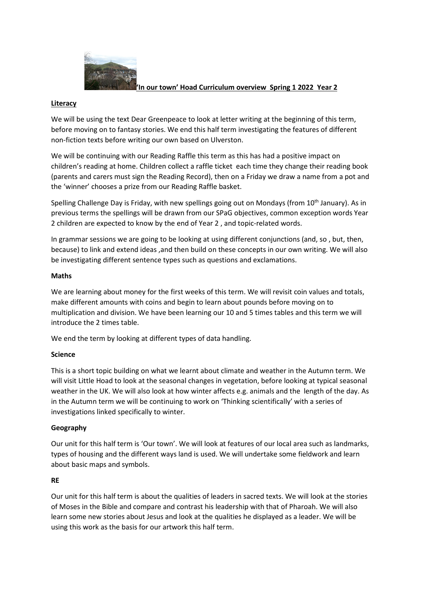

#### **'In our town' Hoad Curriculum overview Spring 1 2022 Year 2**

#### **Literacy**

We will be using the text Dear Greenpeace to look at letter writing at the beginning of this term, before moving on to fantasy stories. We end this half term investigating the features of different non-fiction texts before writing our own based on Ulverston.

We will be continuing with our Reading Raffle this term as this has had a positive impact on children's reading at home. Children collect a raffle ticket each time they change their reading book (parents and carers must sign the Reading Record), then on a Friday we draw a name from a pot and the 'winner' chooses a prize from our Reading Raffle basket.

Spelling Challenge Day is Friday, with new spellings going out on Mondays (from 10<sup>th</sup> January). As in previous terms the spellings will be drawn from our SPaG objectives, common exception words Year 2 children are expected to know by the end of Year 2 , and topic-related words.

In grammar sessions we are going to be looking at using different conjunctions (and, so , but, then, because) to link and extend ideas ,and then build on these concepts in our own writing. We will also be investigating different sentence types such as questions and exclamations.

#### **Maths**

We are learning about money for the first weeks of this term. We will revisit coin values and totals, make different amounts with coins and begin to learn about pounds before moving on to multiplication and division. We have been learning our 10 and 5 times tables and this term we will introduce the 2 times table.

We end the term by looking at different types of data handling.

## **Science**

This is a short topic building on what we learnt about climate and weather in the Autumn term. We will visit Little Hoad to look at the seasonal changes in vegetation, before looking at typical seasonal weather in the UK. We will also look at how winter affects e.g. animals and the length of the day. As in the Autumn term we will be continuing to work on 'Thinking scientifically' with a series of investigations linked specifically to winter.

## **Geography**

Our unit for this half term is 'Our town'. We will look at features of our local area such as landmarks, types of housing and the different ways land is used. We will undertake some fieldwork and learn about basic maps and symbols.

#### **RE**

Our unit for this half term is about the qualities of leaders in sacred texts. We will look at the stories of Moses in the Bible and compare and contrast his leadership with that of Pharoah. We will also learn some new stories about Jesus and look at the qualities he displayed as a leader. We will be using this work as the basis for our artwork this half term.